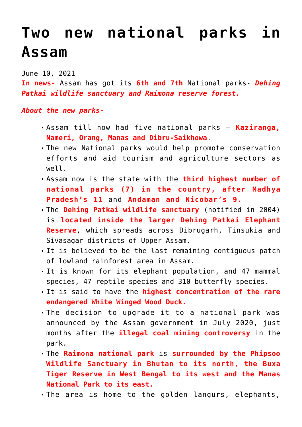## **[Two new national parks in](https://journalsofindia.com/two-new-national-parks-in-assam/) [Assam](https://journalsofindia.com/two-new-national-parks-in-assam/)**

June 10, 2021

**In news-** Assam has got its **6th and 7th** National parks- *Dehing Patkai wildlife sanctuary and Raimona reserve forest.*

## *About the new parks-*

- Assam till now had five national parks **Kaziranga, Nameri, Orang, Manas and Dibru-Saikhowa**.
- The new National parks would help promote conservation efforts and aid tourism and agriculture sectors as well.
- Assam now is the state with the **third highest number of national parks (7) in the country, after Madhya Pradesh's 11** and **Andaman and Nicobar's 9.**
- The **Dehing Patkai wildlife sanctuary** (notified in 2004) is **located inside the larger Dehing Patkai Elephant Reserve**, which spreads across Dibrugarh, Tinsukia and Sivasagar districts of Upper Assam.
- It is believed to be the last remaining contiguous patch of lowland rainforest area in Assam.
- It is known for its elephant population, and 47 mammal species, 47 reptile species and 310 butterfly species.
- It is said to have the **highest concentration of the rare endangered White Winged Wood Duck.**
- The decision to upgrade it to a national park was announced by the Assam government in July 2020, just months after the **illegal coal mining controversy** in the park.
- The **Raimona national park** is **surrounded by the Phipsoo Wildlife Sanctuary in Bhutan to its north, the Buxa Tiger Reserve in West Bengal to its west and the Manas National Park to its east.**
- The area is home to the golden langurs, elephants,